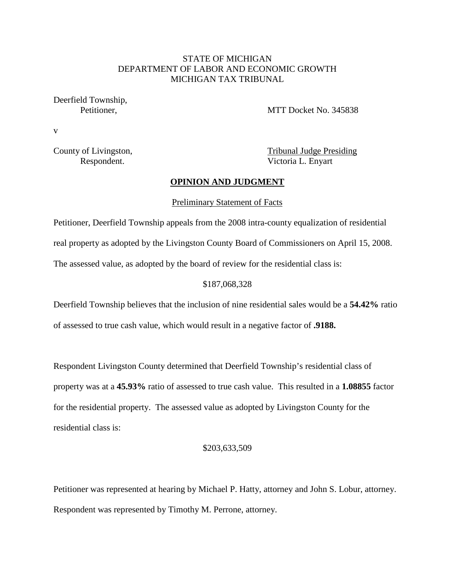## STATE OF MICHIGAN DEPARTMENT OF LABOR AND ECONOMIC GROWTH MICHIGAN TAX TRIBUNAL

Deerfield Township,

Petitioner, MTT Docket No. 345838

v

County of Livingston, Tribunal Judge Presiding Respondent. Victoria L. Enyart

### **OPINION AND JUDGMENT**

### Preliminary Statement of Facts

Petitioner, Deerfield Township appeals from the 2008 intra-county equalization of residential real property as adopted by the Livingston County Board of Commissioners on April 15, 2008. The assessed value, as adopted by the board of review for the residential class is:

### \$187,068,328

Deerfield Township believes that the inclusion of nine residential sales would be a **54.42%** ratio of assessed to true cash value, which would result in a negative factor of **.9188.**

Respondent Livingston County determined that Deerfield Township's residential class of property was at a **45.93%** ratio of assessed to true cash value. This resulted in a **1.08855** factor for the residential property. The assessed value as adopted by Livingston County for the residential class is:

#### \$203,633,509

Petitioner was represented at hearing by Michael P. Hatty, attorney and John S. Lobur, attorney. Respondent was represented by Timothy M. Perrone, attorney.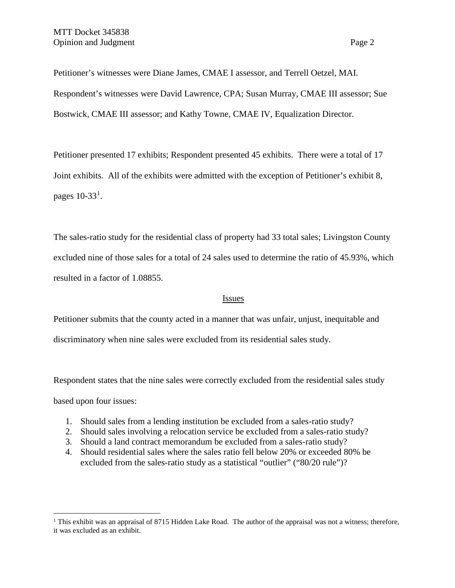Petitioner's witnesses were Diane James, CMAE I assessor, and Terrell Oetzel, MAI. Respondent's witnesses were David Lawrence, CPA; Susan Murray, CMAE III assessor; Sue Bostwick, CMAE III assessor; and Kathy Towne, CMAE IV, Equalization Director.

Petitioner presented 17 exhibits; Respondent presented 45 exhibits. There were a total of 17 Joint exhibits. All of the exhibits were admitted with the exception of Petitioner's exhibit 8, pages  $10-33<sup>1</sup>$  $10-33<sup>1</sup>$ .

The sales-ratio study for the residential class of property had 33 total sales; Livingston County excluded nine of those sales for a total of 24 sales used to determine the ratio of 45.93%, which resulted in a factor of 1.08855.

## Issues

Petitioner submits that the county acted in a manner that was unfair, unjust, inequitable and

discriminatory when nine sales were excluded from its residential sales study.

Respondent states that the nine sales were correctly excluded from the residential sales study

based upon four issues:

- 1. Should sales from a lending institution be excluded from a sales-ratio study?
- 2. Should sales involving a relocation service be excluded from a sales-ratio study?
- 3. Should a land contract memorandum be excluded from a sales-ratio study?
- 4. Should residential sales where the sales ratio fell below 20% or exceeded 80% be excluded from the sales-ratio study as a statistical "outlier" ("80/20 rule")?

<span id="page-1-0"></span><sup>&</sup>lt;sup>1</sup> This exhibit was an appraisal of 8715 Hidden Lake Road. The author of the appraisal was not a witness; therefore, it was excluded as an exhibit.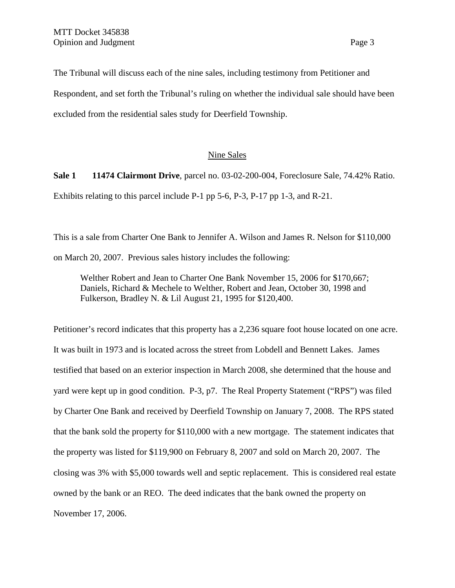The Tribunal will discuss each of the nine sales, including testimony from Petitioner and Respondent, and set forth the Tribunal's ruling on whether the individual sale should have been excluded from the residential sales study for Deerfield Township.

### Nine Sales

**Sale 1 11474 Clairmont Drive**, parcel no. 03-02-200-004, Foreclosure Sale, 74.42% Ratio. Exhibits relating to this parcel include P-1 pp 5-6, P-3, P-17 pp 1-3, and R-21.

This is a sale from Charter One Bank to Jennifer A. Wilson and James R. Nelson for \$110,000 on March 20, 2007. Previous sales history includes the following:

Welther Robert and Jean to Charter One Bank November 15, 2006 for \$170,667; Daniels, Richard & Mechele to Welther, Robert and Jean, October 30, 1998 and Fulkerson, Bradley N. & Lil August 21, 1995 for \$120,400.

Petitioner's record indicates that this property has a 2,236 square foot house located on one acre. It was built in 1973 and is located across the street from Lobdell and Bennett Lakes. James testified that based on an exterior inspection in March 2008, she determined that the house and yard were kept up in good condition. P-3, p7. The Real Property Statement ("RPS") was filed by Charter One Bank and received by Deerfield Township on January 7, 2008. The RPS stated that the bank sold the property for \$110,000 with a new mortgage. The statement indicates that the property was listed for \$119,900 on February 8, 2007 and sold on March 20, 2007. The closing was 3% with \$5,000 towards well and septic replacement. This is considered real estate owned by the bank or an REO. The deed indicates that the bank owned the property on November 17, 2006.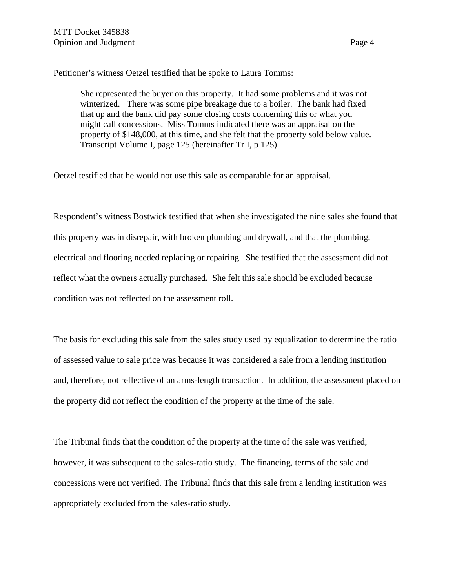Petitioner's witness Oetzel testified that he spoke to Laura Tomms:

She represented the buyer on this property. It had some problems and it was not winterized. There was some pipe breakage due to a boiler. The bank had fixed that up and the bank did pay some closing costs concerning this or what you might call concessions. Miss Tomms indicated there was an appraisal on the property of \$148,000, at this time, and she felt that the property sold below value. Transcript Volume I, page 125 (hereinafter Tr I, p 125).

Oetzel testified that he would not use this sale as comparable for an appraisal.

Respondent's witness Bostwick testified that when she investigated the nine sales she found that this property was in disrepair, with broken plumbing and drywall, and that the plumbing, electrical and flooring needed replacing or repairing. She testified that the assessment did not reflect what the owners actually purchased. She felt this sale should be excluded because condition was not reflected on the assessment roll.

The basis for excluding this sale from the sales study used by equalization to determine the ratio of assessed value to sale price was because it was considered a sale from a lending institution and, therefore, not reflective of an arms-length transaction. In addition, the assessment placed on the property did not reflect the condition of the property at the time of the sale.

The Tribunal finds that the condition of the property at the time of the sale was verified; however, it was subsequent to the sales-ratio study. The financing, terms of the sale and concessions were not verified. The Tribunal finds that this sale from a lending institution was appropriately excluded from the sales-ratio study.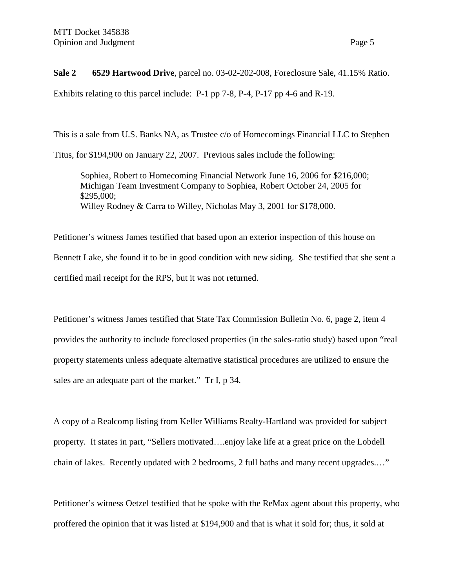**Sale 2 6529 Hartwood Drive**, parcel no. 03-02-202-008, Foreclosure Sale, 41.15% Ratio. Exhibits relating to this parcel include: P-1 pp 7-8, P-4, P-17 pp 4-6 and R-19.

This is a sale from U.S. Banks NA, as Trustee c/o of Homecomings Financial LLC to Stephen

Titus, for \$194,900 on January 22, 2007. Previous sales include the following:

Sophiea, Robert to Homecoming Financial Network June 16, 2006 for \$216,000; Michigan Team Investment Company to Sophiea, Robert October 24, 2005 for \$295,000; Willey Rodney & Carra to Willey, Nicholas May 3, 2001 for \$178,000.

Petitioner's witness James testified that based upon an exterior inspection of this house on Bennett Lake, she found it to be in good condition with new siding. She testified that she sent a certified mail receipt for the RPS, but it was not returned.

Petitioner's witness James testified that State Tax Commission Bulletin No. 6, page 2, item 4 provides the authority to include foreclosed properties (in the sales-ratio study) based upon "real property statements unless adequate alternative statistical procedures are utilized to ensure the sales are an adequate part of the market." Tr I, p 34.

A copy of a Realcomp listing from Keller Williams Realty-Hartland was provided for subject property. It states in part, "Sellers motivated….enjoy lake life at a great price on the Lobdell chain of lakes. Recently updated with 2 bedrooms, 2 full baths and many recent upgrades.…"

Petitioner's witness Oetzel testified that he spoke with the ReMax agent about this property, who proffered the opinion that it was listed at \$194,900 and that is what it sold for; thus, it sold at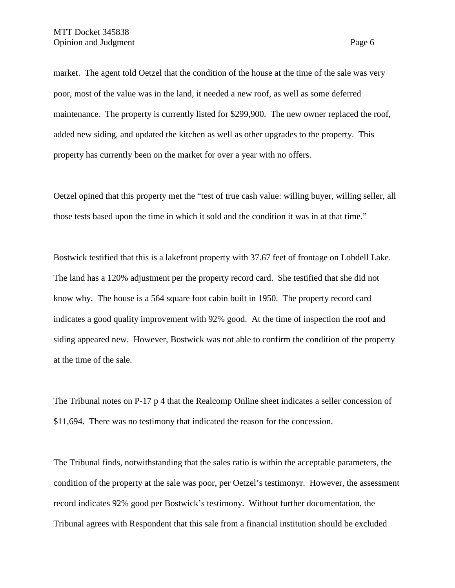market. The agent told Oetzel that the condition of the house at the time of the sale was very poor, most of the value was in the land, it needed a new roof, as well as some deferred maintenance. The property is currently listed for \$299,900. The new owner replaced the roof, added new siding, and updated the kitchen as well as other upgrades to the property. This property has currently been on the market for over a year with no offers.

Oetzel opined that this property met the "test of true cash value: willing buyer, willing seller, all those tests based upon the time in which it sold and the condition it was in at that time."

Bostwick testified that this is a lakefront property with 37.67 feet of frontage on Lobdell Lake. The land has a 120% adjustment per the property record card. She testified that she did not know why. The house is a 564 square foot cabin built in 1950. The property record card indicates a good quality improvement with 92% good. At the time of inspection the roof and siding appeared new. However, Bostwick was not able to confirm the condition of the property at the time of the sale.

The Tribunal notes on P-17 p 4 that the Realcomp Online sheet indicates a seller concession of \$11,694. There was no testimony that indicated the reason for the concession.

The Tribunal finds, notwithstanding that the sales ratio is within the acceptable parameters, the condition of the property at the sale was poor, per Oetzel's testimonyr. However, the assessment record indicates 92% good per Bostwick's testimony. Without further documentation, the Tribunal agrees with Respondent that this sale from a financial institution should be excluded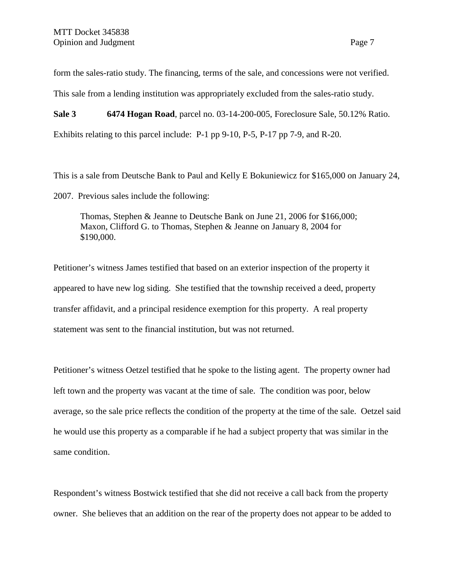form the sales-ratio study. The financing, terms of the sale, and concessions were not verified.

This sale from a lending institution was appropriately excluded from the sales-ratio study.

**Sale 3 6474 Hogan Road**, parcel no. 03-14-200-005, Foreclosure Sale, 50.12% Ratio. Exhibits relating to this parcel include: P-1 pp 9-10, P-5, P-17 pp 7-9, and R-20.

This is a sale from Deutsche Bank to Paul and Kelly E Bokuniewicz for \$165,000 on January 24, 2007. Previous sales include the following:

Thomas, Stephen & Jeanne to Deutsche Bank on June 21, 2006 for \$166,000; Maxon, Clifford G. to Thomas, Stephen & Jeanne on January 8, 2004 for \$190,000.

Petitioner's witness James testified that based on an exterior inspection of the property it appeared to have new log siding. She testified that the township received a deed, property transfer affidavit, and a principal residence exemption for this property. A real property statement was sent to the financial institution, but was not returned.

Petitioner's witness Oetzel testified that he spoke to the listing agent. The property owner had left town and the property was vacant at the time of sale. The condition was poor, below average, so the sale price reflects the condition of the property at the time of the sale. Oetzel said he would use this property as a comparable if he had a subject property that was similar in the same condition.

Respondent's witness Bostwick testified that she did not receive a call back from the property owner. She believes that an addition on the rear of the property does not appear to be added to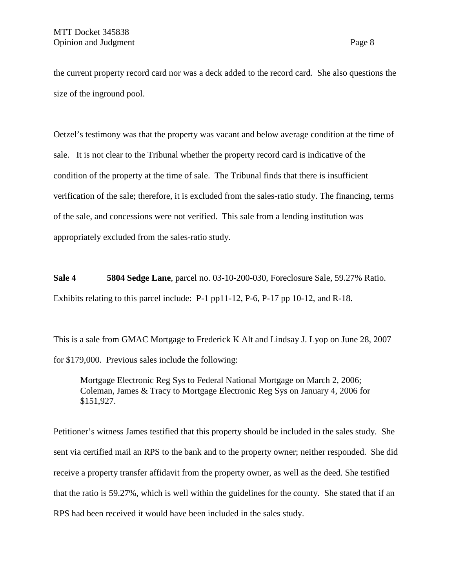the current property record card nor was a deck added to the record card. She also questions the size of the inground pool.

Oetzel's testimony was that the property was vacant and below average condition at the time of sale. It is not clear to the Tribunal whether the property record card is indicative of the condition of the property at the time of sale. The Tribunal finds that there is insufficient verification of the sale; therefore, it is excluded from the sales-ratio study. The financing, terms of the sale, and concessions were not verified. This sale from a lending institution was appropriately excluded from the sales-ratio study.

**Sale 4 5804 Sedge Lane**, parcel no. 03-10-200-030, Foreclosure Sale, 59.27% Ratio. Exhibits relating to this parcel include: P-1 pp11-12, P-6, P-17 pp 10-12, and R-18.

This is a sale from GMAC Mortgage to Frederick K Alt and Lindsay J. Lyop on June 28, 2007 for \$179,000. Previous sales include the following:

Mortgage Electronic Reg Sys to Federal National Mortgage on March 2, 2006; Coleman, James & Tracy to Mortgage Electronic Reg Sys on January 4, 2006 for \$151,927.

Petitioner's witness James testified that this property should be included in the sales study. She sent via certified mail an RPS to the bank and to the property owner; neither responded. She did receive a property transfer affidavit from the property owner, as well as the deed. She testified that the ratio is 59.27%, which is well within the guidelines for the county. She stated that if an RPS had been received it would have been included in the sales study.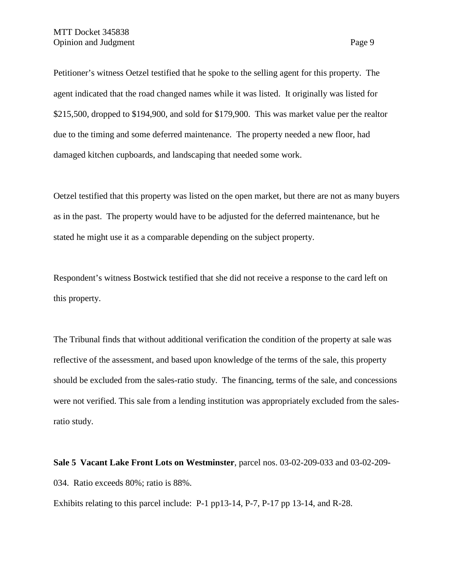Petitioner's witness Oetzel testified that he spoke to the selling agent for this property. The agent indicated that the road changed names while it was listed. It originally was listed for \$215,500, dropped to \$194,900, and sold for \$179,900. This was market value per the realtor due to the timing and some deferred maintenance. The property needed a new floor, had damaged kitchen cupboards, and landscaping that needed some work.

Oetzel testified that this property was listed on the open market, but there are not as many buyers as in the past. The property would have to be adjusted for the deferred maintenance, but he stated he might use it as a comparable depending on the subject property.

Respondent's witness Bostwick testified that she did not receive a response to the card left on this property.

The Tribunal finds that without additional verification the condition of the property at sale was reflective of the assessment, and based upon knowledge of the terms of the sale, this property should be excluded from the sales-ratio study. The financing, terms of the sale, and concessions were not verified. This sale from a lending institution was appropriately excluded from the salesratio study.

**Sale 5 Vacant Lake Front Lots on Westminster**, parcel nos. 03-02-209-033 and 03-02-209- 034. Ratio exceeds 80%; ratio is 88%.

Exhibits relating to this parcel include: P-1 pp13-14, P-7, P-17 pp 13-14, and R-28.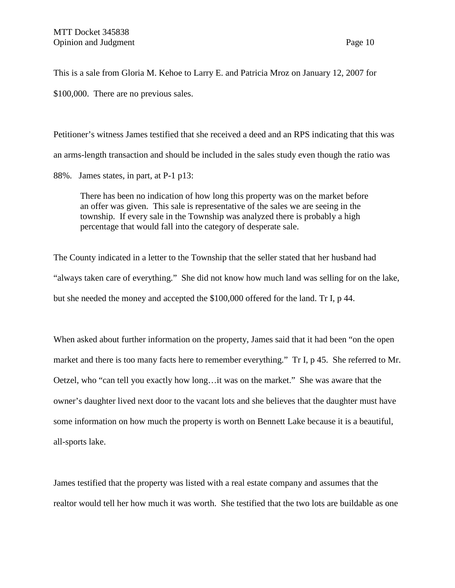Petitioner's witness James testified that she received a deed and an RPS indicating that this was an arms-length transaction and should be included in the sales study even though the ratio was 88%. James states, in part, at P-1 p13:

There has been no indication of how long this property was on the market before an offer was given. This sale is representative of the sales we are seeing in the township. If every sale in the Township was analyzed there is probably a high percentage that would fall into the category of desperate sale.

The County indicated in a letter to the Township that the seller stated that her husband had "always taken care of everything." She did not know how much land was selling for on the lake, but she needed the money and accepted the \$100,000 offered for the land. Tr I, p 44.

When asked about further information on the property, James said that it had been "on the open market and there is too many facts here to remember everything." Tr I, p 45. She referred to Mr. Oetzel, who "can tell you exactly how long…it was on the market." She was aware that the owner's daughter lived next door to the vacant lots and she believes that the daughter must have some information on how much the property is worth on Bennett Lake because it is a beautiful, all-sports lake.

James testified that the property was listed with a real estate company and assumes that the realtor would tell her how much it was worth. She testified that the two lots are buildable as one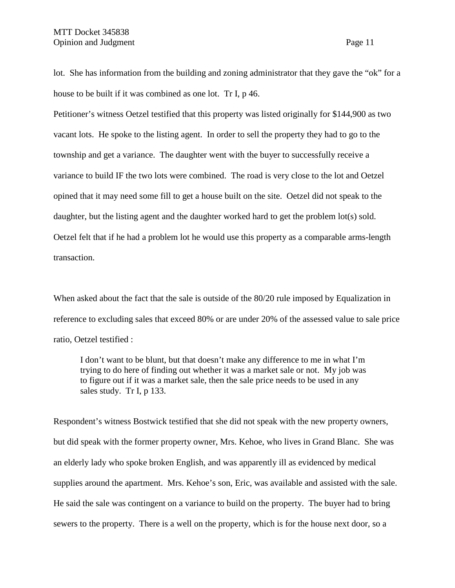lot. She has information from the building and zoning administrator that they gave the "ok" for a house to be built if it was combined as one lot. Tr I, p 46.

Petitioner's witness Oetzel testified that this property was listed originally for \$144,900 as two vacant lots. He spoke to the listing agent. In order to sell the property they had to go to the township and get a variance. The daughter went with the buyer to successfully receive a variance to build IF the two lots were combined. The road is very close to the lot and Oetzel opined that it may need some fill to get a house built on the site. Oetzel did not speak to the daughter, but the listing agent and the daughter worked hard to get the problem lot(s) sold. Oetzel felt that if he had a problem lot he would use this property as a comparable arms-length transaction.

When asked about the fact that the sale is outside of the 80/20 rule imposed by Equalization in reference to excluding sales that exceed 80% or are under 20% of the assessed value to sale price ratio, Oetzel testified :

I don't want to be blunt, but that doesn't make any difference to me in what I'm trying to do here of finding out whether it was a market sale or not. My job was to figure out if it was a market sale, then the sale price needs to be used in any sales study. Tr I, p 133.

Respondent's witness Bostwick testified that she did not speak with the new property owners, but did speak with the former property owner, Mrs. Kehoe, who lives in Grand Blanc. She was an elderly lady who spoke broken English, and was apparently ill as evidenced by medical supplies around the apartment. Mrs. Kehoe's son, Eric, was available and assisted with the sale. He said the sale was contingent on a variance to build on the property. The buyer had to bring sewers to the property. There is a well on the property, which is for the house next door, so a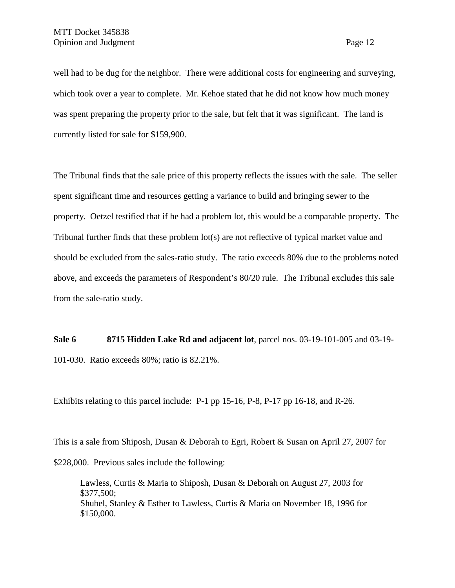well had to be dug for the neighbor. There were additional costs for engineering and surveying, which took over a year to complete. Mr. Kehoe stated that he did not know how much money was spent preparing the property prior to the sale, but felt that it was significant. The land is currently listed for sale for \$159,900.

The Tribunal finds that the sale price of this property reflects the issues with the sale. The seller spent significant time and resources getting a variance to build and bringing sewer to the property. Oetzel testified that if he had a problem lot, this would be a comparable property. The Tribunal further finds that these problem lot(s) are not reflective of typical market value and should be excluded from the sales-ratio study. The ratio exceeds 80% due to the problems noted above, and exceeds the parameters of Respondent's 80/20 rule. The Tribunal excludes this sale from the sale-ratio study.

**Sale 6 8715 Hidden Lake Rd and adjacent lot**, parcel nos. 03-19-101-005 and 03-19- 101-030. Ratio exceeds 80%; ratio is 82.21%.

Exhibits relating to this parcel include: P-1 pp 15-16, P-8, P-17 pp 16-18, and R-26.

This is a sale from Shiposh, Dusan & Deborah to Egri, Robert & Susan on April 27, 2007 for \$228,000. Previous sales include the following:

Lawless, Curtis & Maria to Shiposh, Dusan & Deborah on August 27, 2003 for \$377,500; Shubel, Stanley & Esther to Lawless, Curtis & Maria on November 18, 1996 for \$150,000.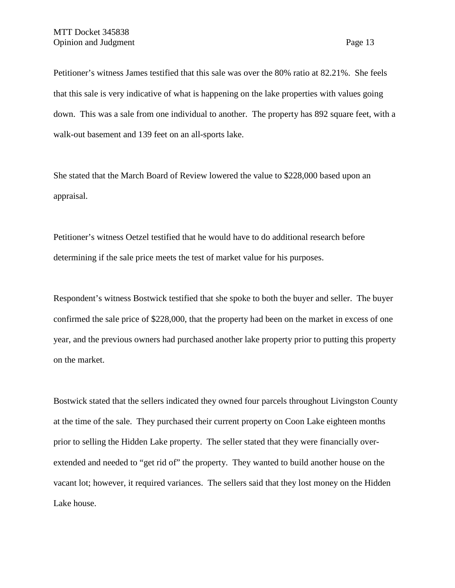Petitioner's witness James testified that this sale was over the 80% ratio at 82.21%. She feels that this sale is very indicative of what is happening on the lake properties with values going down. This was a sale from one individual to another. The property has 892 square feet, with a walk-out basement and 139 feet on an all-sports lake.

She stated that the March Board of Review lowered the value to \$228,000 based upon an appraisal.

Petitioner's witness Oetzel testified that he would have to do additional research before determining if the sale price meets the test of market value for his purposes.

Respondent's witness Bostwick testified that she spoke to both the buyer and seller. The buyer confirmed the sale price of \$228,000, that the property had been on the market in excess of one year, and the previous owners had purchased another lake property prior to putting this property on the market.

Bostwick stated that the sellers indicated they owned four parcels throughout Livingston County at the time of the sale. They purchased their current property on Coon Lake eighteen months prior to selling the Hidden Lake property. The seller stated that they were financially overextended and needed to "get rid of" the property. They wanted to build another house on the vacant lot; however, it required variances. The sellers said that they lost money on the Hidden Lake house.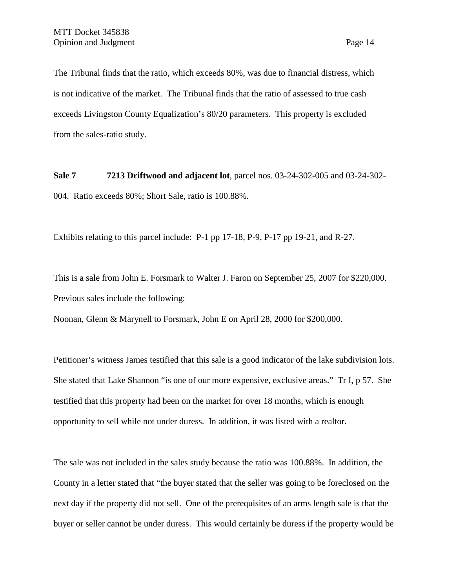The Tribunal finds that the ratio, which exceeds 80%, was due to financial distress, which is not indicative of the market. The Tribunal finds that the ratio of assessed to true cash exceeds Livingston County Equalization's 80/20 parameters. This property is excluded from the sales-ratio study.

**Sale 7 7213 Driftwood and adjacent lot**, parcel nos. 03-24-302-005 and 03-24-302- 004. Ratio exceeds 80%; Short Sale, ratio is 100.88%.

Exhibits relating to this parcel include: P-1 pp 17-18, P-9, P-17 pp 19-21, and R-27.

This is a sale from John E. Forsmark to Walter J. Faron on September 25, 2007 for \$220,000. Previous sales include the following:

Noonan, Glenn & Marynell to Forsmark, John E on April 28, 2000 for \$200,000.

Petitioner's witness James testified that this sale is a good indicator of the lake subdivision lots. She stated that Lake Shannon "is one of our more expensive, exclusive areas." Tr I, p 57. She testified that this property had been on the market for over 18 months, which is enough opportunity to sell while not under duress. In addition, it was listed with a realtor.

The sale was not included in the sales study because the ratio was 100.88%. In addition, the County in a letter stated that "the buyer stated that the seller was going to be foreclosed on the next day if the property did not sell. One of the prerequisites of an arms length sale is that the buyer or seller cannot be under duress. This would certainly be duress if the property would be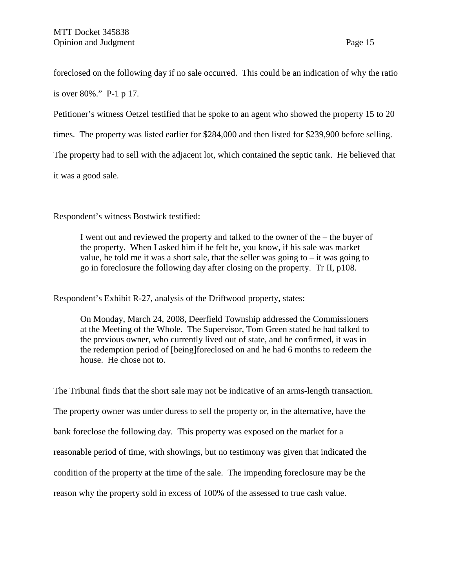foreclosed on the following day if no sale occurred. This could be an indication of why the ratio

is over 80%." P-1 p 17.

Petitioner's witness Oetzel testified that he spoke to an agent who showed the property 15 to 20

times. The property was listed earlier for \$284,000 and then listed for \$239,900 before selling.

The property had to sell with the adjacent lot, which contained the septic tank. He believed that

it was a good sale.

Respondent's witness Bostwick testified:

I went out and reviewed the property and talked to the owner of the – the buyer of the property. When I asked him if he felt he, you know, if his sale was market value, he told me it was a short sale, that the seller was going to  $-$  it was going to go in foreclosure the following day after closing on the property. Tr II, p108.

Respondent's Exhibit R-27, analysis of the Driftwood property, states:

On Monday, March 24, 2008, Deerfield Township addressed the Commissioners at the Meeting of the Whole. The Supervisor, Tom Green stated he had talked to the previous owner, who currently lived out of state, and he confirmed, it was in the redemption period of [being]foreclosed on and he had 6 months to redeem the house. He chose not to.

The Tribunal finds that the short sale may not be indicative of an arms-length transaction. The property owner was under duress to sell the property or, in the alternative, have the bank foreclose the following day. This property was exposed on the market for a reasonable period of time, with showings, but no testimony was given that indicated the condition of the property at the time of the sale. The impending foreclosure may be the reason why the property sold in excess of 100% of the assessed to true cash value.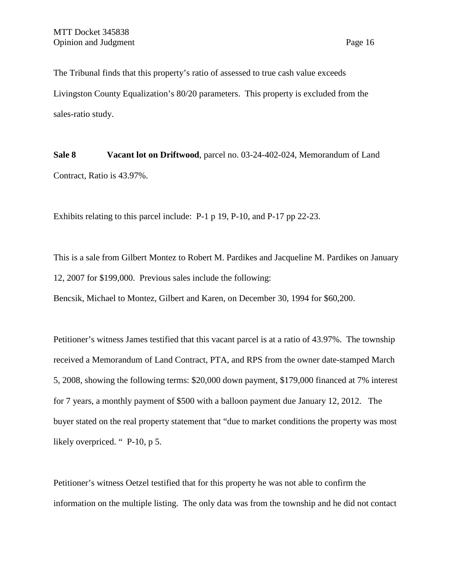The Tribunal finds that this property's ratio of assessed to true cash value exceeds Livingston County Equalization's 80/20 parameters. This property is excluded from the sales-ratio study.

**Sale 8 Vacant lot on Driftwood**, parcel no. 03-24-402-024, Memorandum of Land Contract, Ratio is 43.97%.

Exhibits relating to this parcel include: P-1 p 19, P-10, and P-17 pp 22-23.

This is a sale from Gilbert Montez to Robert M. Pardikes and Jacqueline M. Pardikes on January 12, 2007 for \$199,000. Previous sales include the following:

Bencsik, Michael to Montez, Gilbert and Karen, on December 30, 1994 for \$60,200.

Petitioner's witness James testified that this vacant parcel is at a ratio of 43.97%. The township received a Memorandum of Land Contract, PTA, and RPS from the owner date-stamped March 5, 2008, showing the following terms: \$20,000 down payment, \$179,000 financed at 7% interest for 7 years, a monthly payment of \$500 with a balloon payment due January 12, 2012. The buyer stated on the real property statement that "due to market conditions the property was most likely overpriced. " P-10, p 5.

Petitioner's witness Oetzel testified that for this property he was not able to confirm the information on the multiple listing. The only data was from the township and he did not contact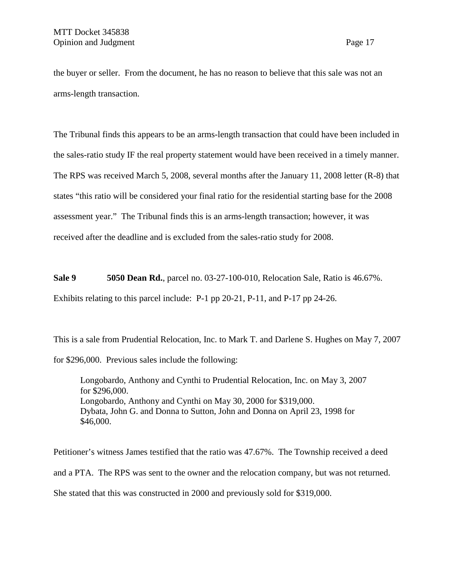the buyer or seller. From the document, he has no reason to believe that this sale was not an arms-length transaction.

The Tribunal finds this appears to be an arms-length transaction that could have been included in the sales-ratio study IF the real property statement would have been received in a timely manner. The RPS was received March 5, 2008, several months after the January 11, 2008 letter (R-8) that states "this ratio will be considered your final ratio for the residential starting base for the 2008 assessment year." The Tribunal finds this is an arms-length transaction; however, it was received after the deadline and is excluded from the sales-ratio study for 2008.

**Sale 9 5050 Dean Rd.**, parcel no. 03-27-100-010, Relocation Sale, Ratio is 46.67%.

Exhibits relating to this parcel include: P-1 pp 20-21, P-11, and P-17 pp 24-26.

This is a sale from Prudential Relocation, Inc. to Mark T. and Darlene S. Hughes on May 7, 2007 for \$296,000. Previous sales include the following:

Longobardo, Anthony and Cynthi to Prudential Relocation, Inc. on May 3, 2007 for \$296,000. Longobardo, Anthony and Cynthi on May 30, 2000 for \$319,000. Dybata, John G. and Donna to Sutton, John and Donna on April 23, 1998 for \$46,000.

Petitioner's witness James testified that the ratio was 47.67%. The Township received a deed and a PTA. The RPS was sent to the owner and the relocation company, but was not returned. She stated that this was constructed in 2000 and previously sold for \$319,000.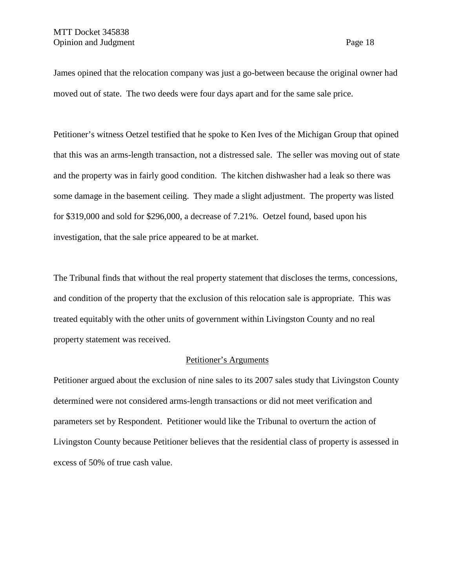James opined that the relocation company was just a go-between because the original owner had moved out of state. The two deeds were four days apart and for the same sale price.

Petitioner's witness Oetzel testified that he spoke to Ken Ives of the Michigan Group that opined that this was an arms-length transaction, not a distressed sale. The seller was moving out of state and the property was in fairly good condition. The kitchen dishwasher had a leak so there was some damage in the basement ceiling. They made a slight adjustment. The property was listed for \$319,000 and sold for \$296,000, a decrease of 7.21%. Oetzel found, based upon his investigation, that the sale price appeared to be at market.

The Tribunal finds that without the real property statement that discloses the terms, concessions, and condition of the property that the exclusion of this relocation sale is appropriate. This was treated equitably with the other units of government within Livingston County and no real property statement was received.

## Petitioner's Arguments

Petitioner argued about the exclusion of nine sales to its 2007 sales study that Livingston County determined were not considered arms-length transactions or did not meet verification and parameters set by Respondent. Petitioner would like the Tribunal to overturn the action of Livingston County because Petitioner believes that the residential class of property is assessed in excess of 50% of true cash value.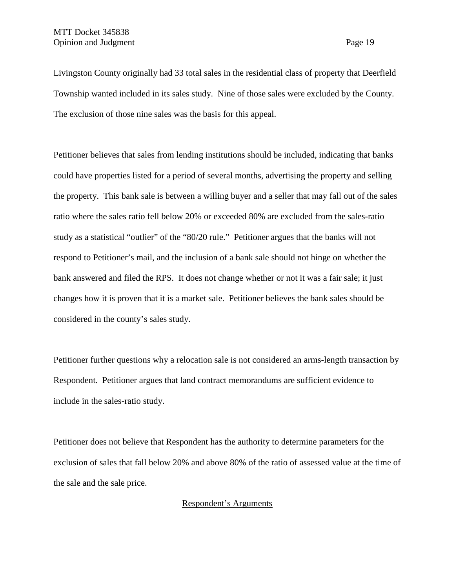Livingston County originally had 33 total sales in the residential class of property that Deerfield Township wanted included in its sales study. Nine of those sales were excluded by the County. The exclusion of those nine sales was the basis for this appeal.

Petitioner believes that sales from lending institutions should be included, indicating that banks could have properties listed for a period of several months, advertising the property and selling the property. This bank sale is between a willing buyer and a seller that may fall out of the sales ratio where the sales ratio fell below 20% or exceeded 80% are excluded from the sales-ratio study as a statistical "outlier" of the "80/20 rule." Petitioner argues that the banks will not respond to Petitioner's mail, and the inclusion of a bank sale should not hinge on whether the bank answered and filed the RPS. It does not change whether or not it was a fair sale; it just changes how it is proven that it is a market sale. Petitioner believes the bank sales should be considered in the county's sales study.

Petitioner further questions why a relocation sale is not considered an arms-length transaction by Respondent. Petitioner argues that land contract memorandums are sufficient evidence to include in the sales-ratio study.

Petitioner does not believe that Respondent has the authority to determine parameters for the exclusion of sales that fall below 20% and above 80% of the ratio of assessed value at the time of the sale and the sale price.

### Respondent's Arguments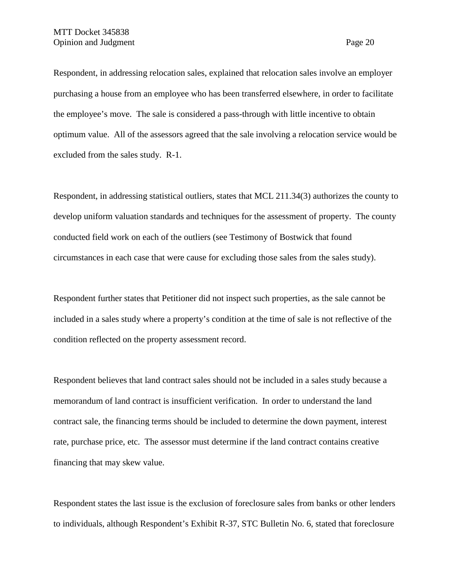Respondent, in addressing relocation sales, explained that relocation sales involve an employer purchasing a house from an employee who has been transferred elsewhere, in order to facilitate the employee's move. The sale is considered a pass-through with little incentive to obtain optimum value. All of the assessors agreed that the sale involving a relocation service would be excluded from the sales study. R-1.

Respondent, in addressing statistical outliers, states that MCL 211.34(3) authorizes the county to develop uniform valuation standards and techniques for the assessment of property. The county conducted field work on each of the outliers (see Testimony of Bostwick that found circumstances in each case that were cause for excluding those sales from the sales study).

Respondent further states that Petitioner did not inspect such properties, as the sale cannot be included in a sales study where a property's condition at the time of sale is not reflective of the condition reflected on the property assessment record.

Respondent believes that land contract sales should not be included in a sales study because a memorandum of land contract is insufficient verification. In order to understand the land contract sale, the financing terms should be included to determine the down payment, interest rate, purchase price, etc. The assessor must determine if the land contract contains creative financing that may skew value.

Respondent states the last issue is the exclusion of foreclosure sales from banks or other lenders to individuals, although Respondent's Exhibit R-37, STC Bulletin No. 6, stated that foreclosure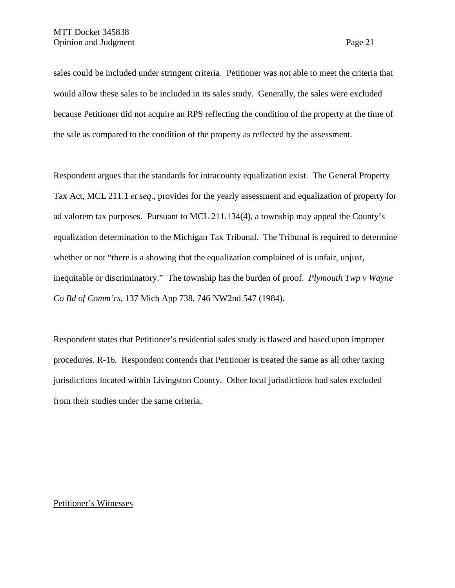sales could be included under stringent criteria. Petitioner was not able to meet the criteria that would allow these sales to be included in its sales study. Generally, the sales were excluded because Petitioner did not acquire an RPS reflecting the condition of the property at the time of the sale as compared to the condition of the property as reflected by the assessment.

Respondent argues that the standards for intracounty equalization exist. The General Property Tax Act, MCL 211.1 *et seq*., provides for the yearly assessment and equalization of property for ad valorem tax purposes. Pursuant to MCL 211.134(4), a township may appeal the County's equalization determination to the Michigan Tax Tribunal. The Tribunal is required to determine whether or not "there is a showing that the equalization complained of is unfair, unjust, inequitable or discriminatory." The township has the burden of proof. *Plymouth Twp v Wayne Co Bd of Comm'rs*, 137 Mich App 738, 746 NW2nd 547 (1984).

Respondent states that Petitioner's residential sales study is flawed and based upon improper procedures. R-16. Respondent contends that Petitioner is treated the same as all other taxing jurisdictions located within Livingston County. Other local jurisdictions had sales excluded from their studies under the same criteria.

Petitioner's Witnesses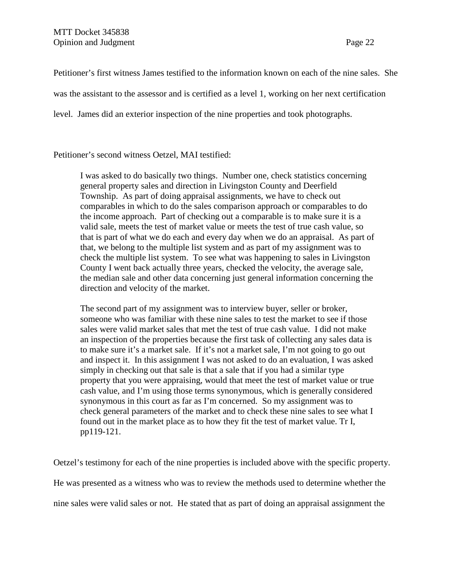Petitioner's first witness James testified to the information known on each of the nine sales. She was the assistant to the assessor and is certified as a level 1, working on her next certification level. James did an exterior inspection of the nine properties and took photographs.

Petitioner's second witness Oetzel, MAI testified:

I was asked to do basically two things. Number one, check statistics concerning general property sales and direction in Livingston County and Deerfield Township. As part of doing appraisal assignments, we have to check out comparables in which to do the sales comparison approach or comparables to do the income approach. Part of checking out a comparable is to make sure it is a valid sale, meets the test of market value or meets the test of true cash value, so that is part of what we do each and every day when we do an appraisal. As part of that, we belong to the multiple list system and as part of my assignment was to check the multiple list system. To see what was happening to sales in Livingston County I went back actually three years, checked the velocity, the average sale, the median sale and other data concerning just general information concerning the direction and velocity of the market.

The second part of my assignment was to interview buyer, seller or broker, someone who was familiar with these nine sales to test the market to see if those sales were valid market sales that met the test of true cash value. I did not make an inspection of the properties because the first task of collecting any sales data is to make sure it's a market sale. If it's not a market sale, I'm not going to go out and inspect it. In this assignment I was not asked to do an evaluation, I was asked simply in checking out that sale is that a sale that if you had a similar type property that you were appraising, would that meet the test of market value or true cash value, and I'm using those terms synonymous, which is generally considered synonymous in this court as far as I'm concerned. So my assignment was to check general parameters of the market and to check these nine sales to see what I found out in the market place as to how they fit the test of market value. Tr I, pp119-121.

Oetzel's testimony for each of the nine properties is included above with the specific property. He was presented as a witness who was to review the methods used to determine whether the nine sales were valid sales or not. He stated that as part of doing an appraisal assignment the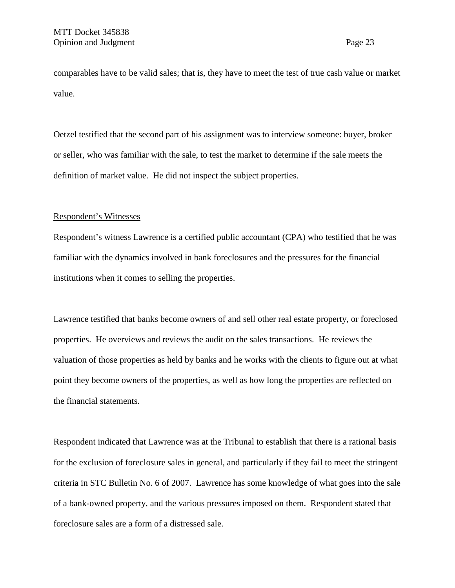comparables have to be valid sales; that is, they have to meet the test of true cash value or market value.

Oetzel testified that the second part of his assignment was to interview someone: buyer, broker or seller, who was familiar with the sale, to test the market to determine if the sale meets the definition of market value. He did not inspect the subject properties.

### Respondent's Witnesses

Respondent's witness Lawrence is a certified public accountant (CPA) who testified that he was familiar with the dynamics involved in bank foreclosures and the pressures for the financial institutions when it comes to selling the properties.

Lawrence testified that banks become owners of and sell other real estate property, or foreclosed properties. He overviews and reviews the audit on the sales transactions. He reviews the valuation of those properties as held by banks and he works with the clients to figure out at what point they become owners of the properties, as well as how long the properties are reflected on the financial statements.

Respondent indicated that Lawrence was at the Tribunal to establish that there is a rational basis for the exclusion of foreclosure sales in general, and particularly if they fail to meet the stringent criteria in STC Bulletin No. 6 of 2007. Lawrence has some knowledge of what goes into the sale of a bank-owned property, and the various pressures imposed on them. Respondent stated that foreclosure sales are a form of a distressed sale.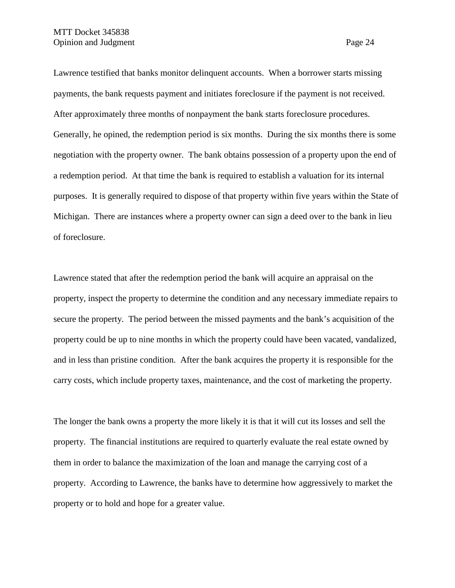Lawrence testified that banks monitor delinquent accounts. When a borrower starts missing payments, the bank requests payment and initiates foreclosure if the payment is not received. After approximately three months of nonpayment the bank starts foreclosure procedures. Generally, he opined, the redemption period is six months. During the six months there is some negotiation with the property owner. The bank obtains possession of a property upon the end of a redemption period. At that time the bank is required to establish a valuation for its internal purposes. It is generally required to dispose of that property within five years within the State of Michigan. There are instances where a property owner can sign a deed over to the bank in lieu of foreclosure.

Lawrence stated that after the redemption period the bank will acquire an appraisal on the property, inspect the property to determine the condition and any necessary immediate repairs to secure the property. The period between the missed payments and the bank's acquisition of the property could be up to nine months in which the property could have been vacated, vandalized, and in less than pristine condition. After the bank acquires the property it is responsible for the carry costs, which include property taxes, maintenance, and the cost of marketing the property.

The longer the bank owns a property the more likely it is that it will cut its losses and sell the property. The financial institutions are required to quarterly evaluate the real estate owned by them in order to balance the maximization of the loan and manage the carrying cost of a property. According to Lawrence, the banks have to determine how aggressively to market the property or to hold and hope for a greater value.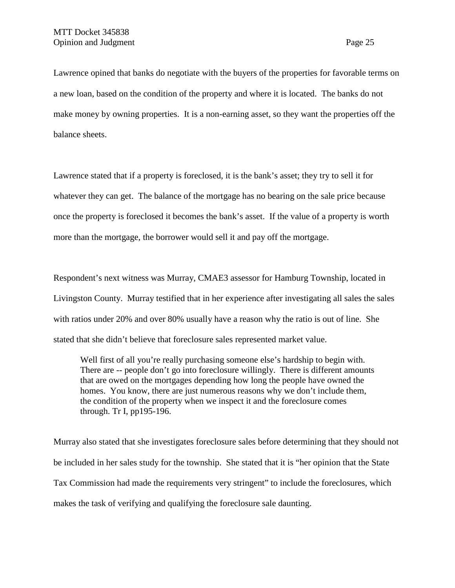Lawrence opined that banks do negotiate with the buyers of the properties for favorable terms on a new loan, based on the condition of the property and where it is located. The banks do not make money by owning properties. It is a non-earning asset, so they want the properties off the balance sheets.

Lawrence stated that if a property is foreclosed, it is the bank's asset; they try to sell it for whatever they can get. The balance of the mortgage has no bearing on the sale price because once the property is foreclosed it becomes the bank's asset. If the value of a property is worth more than the mortgage, the borrower would sell it and pay off the mortgage.

Respondent's next witness was Murray, CMAE3 assessor for Hamburg Township, located in Livingston County. Murray testified that in her experience after investigating all sales the sales with ratios under 20% and over 80% usually have a reason why the ratio is out of line. She stated that she didn't believe that foreclosure sales represented market value.

Well first of all you're really purchasing someone else's hardship to begin with. There are -- people don't go into foreclosure willingly. There is different amounts that are owed on the mortgages depending how long the people have owned the homes. You know, there are just numerous reasons why we don't include them, the condition of the property when we inspect it and the foreclosure comes through. Tr I, pp195-196.

Murray also stated that she investigates foreclosure sales before determining that they should not be included in her sales study for the township. She stated that it is "her opinion that the State Tax Commission had made the requirements very stringent" to include the foreclosures, which makes the task of verifying and qualifying the foreclosure sale daunting.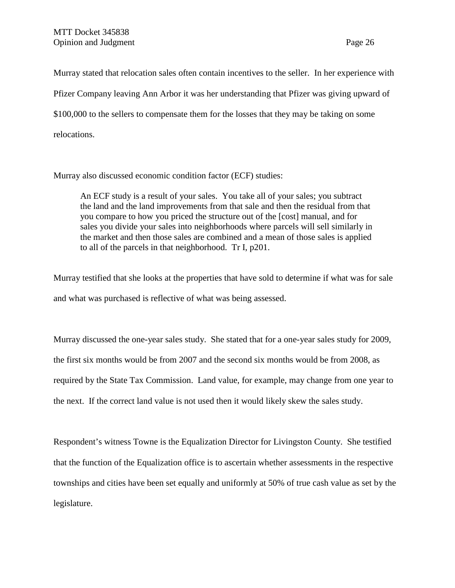Murray stated that relocation sales often contain incentives to the seller. In her experience with Pfizer Company leaving Ann Arbor it was her understanding that Pfizer was giving upward of \$100,000 to the sellers to compensate them for the losses that they may be taking on some relocations.

Murray also discussed economic condition factor (ECF) studies:

An ECF study is a result of your sales. You take all of your sales; you subtract the land and the land improvements from that sale and then the residual from that you compare to how you priced the structure out of the [cost] manual, and for sales you divide your sales into neighborhoods where parcels will sell similarly in the market and then those sales are combined and a mean of those sales is applied to all of the parcels in that neighborhood. Tr I, p201.

Murray testified that she looks at the properties that have sold to determine if what was for sale and what was purchased is reflective of what was being assessed.

Murray discussed the one-year sales study. She stated that for a one-year sales study for 2009, the first six months would be from 2007 and the second six months would be from 2008, as required by the State Tax Commission. Land value, for example, may change from one year to the next. If the correct land value is not used then it would likely skew the sales study.

Respondent's witness Towne is the Equalization Director for Livingston County. She testified that the function of the Equalization office is to ascertain whether assessments in the respective townships and cities have been set equally and uniformly at 50% of true cash value as set by the legislature.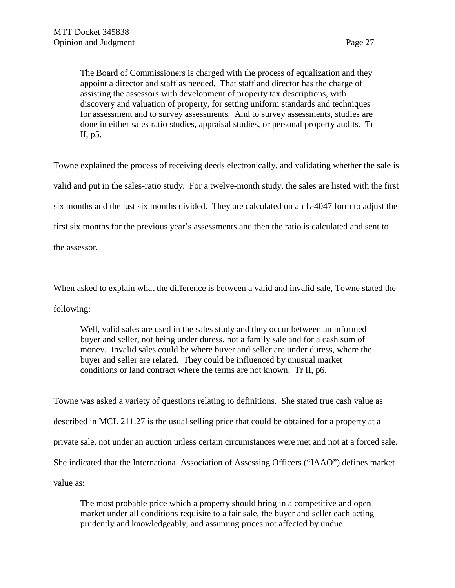The Board of Commissioners is charged with the process of equalization and they appoint a director and staff as needed. That staff and director has the charge of assisting the assessors with development of property tax descriptions, with discovery and valuation of property, for setting uniform standards and techniques for assessment and to survey assessments. And to survey assessments, studies are done in either sales ratio studies, appraisal studies, or personal property audits. Tr II, p5.

Towne explained the process of receiving deeds electronically, and validating whether the sale is valid and put in the sales-ratio study. For a twelve-month study, the sales are listed with the first six months and the last six months divided. They are calculated on an L-4047 form to adjust the first six months for the previous year's assessments and then the ratio is calculated and sent to

the assessor.

When asked to explain what the difference is between a valid and invalid sale, Towne stated the following:

Well, valid sales are used in the sales study and they occur between an informed buyer and seller, not being under duress, not a family sale and for a cash sum of money. Invalid sales could be where buyer and seller are under duress, where the buyer and seller are related. They could be influenced by unusual market conditions or land contract where the terms are not known. Tr II, p6.

Towne was asked a variety of questions relating to definitions. She stated true cash value as described in MCL 211.27 is the usual selling price that could be obtained for a property at a private sale, not under an auction unless certain circumstances were met and not at a forced sale. She indicated that the International Association of Assessing Officers ("IAAO") defines market value as:

The most probable price which a property should bring in a competitive and open market under all conditions requisite to a fair sale, the buyer and seller each acting prudently and knowledgeably, and assuming prices not affected by undue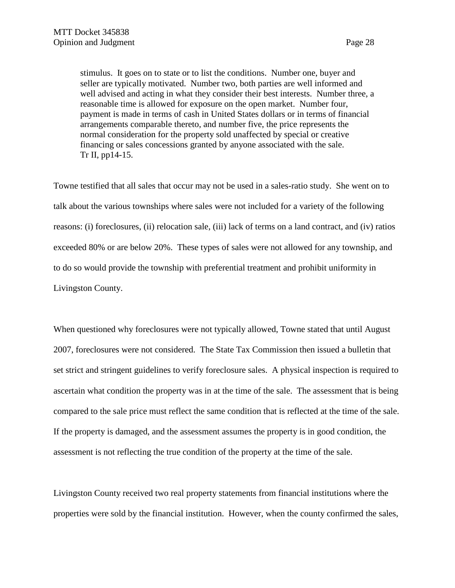stimulus. It goes on to state or to list the conditions. Number one, buyer and seller are typically motivated. Number two, both parties are well informed and well advised and acting in what they consider their best interests. Number three, a reasonable time is allowed for exposure on the open market. Number four, payment is made in terms of cash in United States dollars or in terms of financial arrangements comparable thereto, and number five, the price represents the normal consideration for the property sold unaffected by special or creative financing or sales concessions granted by anyone associated with the sale. Tr II, pp14-15.

Towne testified that all sales that occur may not be used in a sales-ratio study. She went on to talk about the various townships where sales were not included for a variety of the following reasons: (i) foreclosures, (ii) relocation sale, (iii) lack of terms on a land contract, and (iv) ratios exceeded 80% or are below 20%. These types of sales were not allowed for any township, and to do so would provide the township with preferential treatment and prohibit uniformity in Livingston County.

When questioned why foreclosures were not typically allowed, Towne stated that until August 2007, foreclosures were not considered. The State Tax Commission then issued a bulletin that set strict and stringent guidelines to verify foreclosure sales. A physical inspection is required to ascertain what condition the property was in at the time of the sale. The assessment that is being compared to the sale price must reflect the same condition that is reflected at the time of the sale. If the property is damaged, and the assessment assumes the property is in good condition, the assessment is not reflecting the true condition of the property at the time of the sale.

Livingston County received two real property statements from financial institutions where the properties were sold by the financial institution. However, when the county confirmed the sales,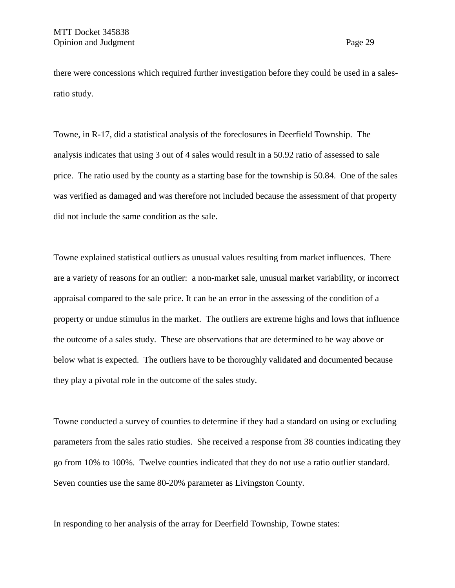there were concessions which required further investigation before they could be used in a salesratio study.

Towne, in R-17, did a statistical analysis of the foreclosures in Deerfield Township. The analysis indicates that using 3 out of 4 sales would result in a 50.92 ratio of assessed to sale price. The ratio used by the county as a starting base for the township is 50.84. One of the sales was verified as damaged and was therefore not included because the assessment of that property did not include the same condition as the sale.

Towne explained statistical outliers as unusual values resulting from market influences. There are a variety of reasons for an outlier: a non-market sale, unusual market variability, or incorrect appraisal compared to the sale price. It can be an error in the assessing of the condition of a property or undue stimulus in the market. The outliers are extreme highs and lows that influence the outcome of a sales study. These are observations that are determined to be way above or below what is expected. The outliers have to be thoroughly validated and documented because they play a pivotal role in the outcome of the sales study.

Towne conducted a survey of counties to determine if they had a standard on using or excluding parameters from the sales ratio studies. She received a response from 38 counties indicating they go from 10% to 100%. Twelve counties indicated that they do not use a ratio outlier standard. Seven counties use the same 80-20% parameter as Livingston County.

In responding to her analysis of the array for Deerfield Township, Towne states: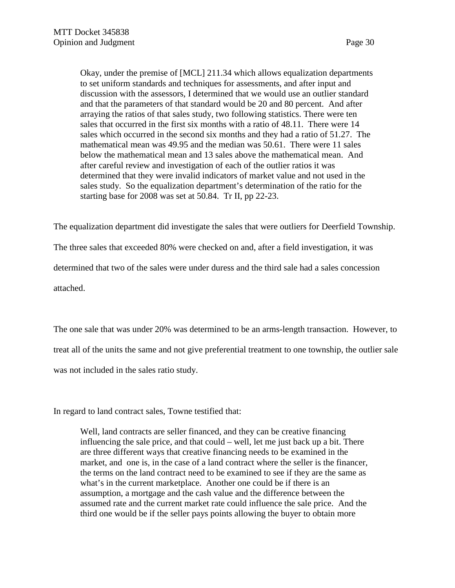Okay, under the premise of [MCL] 211.34 which allows equalization departments to set uniform standards and techniques for assessments, and after input and discussion with the assessors, I determined that we would use an outlier standard and that the parameters of that standard would be 20 and 80 percent. And after arraying the ratios of that sales study, two following statistics. There were ten sales that occurred in the first six months with a ratio of 48.11. There were 14 sales which occurred in the second six months and they had a ratio of 51.27. The mathematical mean was 49.95 and the median was 50.61. There were 11 sales below the mathematical mean and 13 sales above the mathematical mean. And after careful review and investigation of each of the outlier ratios it was determined that they were invalid indicators of market value and not used in the sales study. So the equalization department's determination of the ratio for the starting base for 2008 was set at 50.84. Tr II, pp 22-23.

The equalization department did investigate the sales that were outliers for Deerfield Township. The three sales that exceeded 80% were checked on and, after a field investigation, it was determined that two of the sales were under duress and the third sale had a sales concession attached.

The one sale that was under 20% was determined to be an arms-length transaction. However, to treat all of the units the same and not give preferential treatment to one township, the outlier sale was not included in the sales ratio study.

In regard to land contract sales, Towne testified that:

Well, land contracts are seller financed, and they can be creative financing influencing the sale price, and that could – well, let me just back up a bit. There are three different ways that creative financing needs to be examined in the market, and one is, in the case of a land contract where the seller is the financer, the terms on the land contract need to be examined to see if they are the same as what's in the current marketplace. Another one could be if there is an assumption, a mortgage and the cash value and the difference between the assumed rate and the current market rate could influence the sale price. And the third one would be if the seller pays points allowing the buyer to obtain more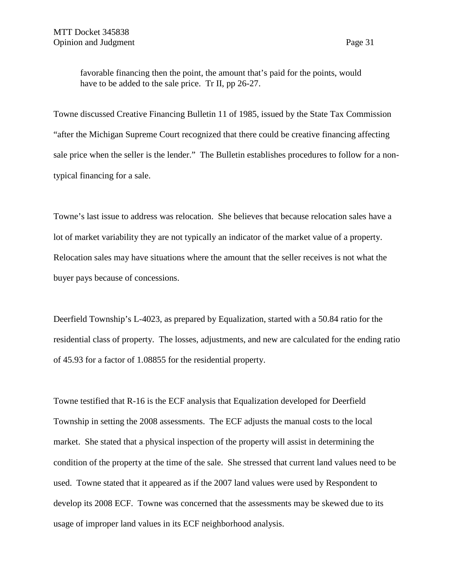favorable financing then the point, the amount that's paid for the points, would have to be added to the sale price. Tr II, pp 26-27.

Towne discussed Creative Financing Bulletin 11 of 1985, issued by the State Tax Commission "after the Michigan Supreme Court recognized that there could be creative financing affecting sale price when the seller is the lender." The Bulletin establishes procedures to follow for a nontypical financing for a sale.

Towne's last issue to address was relocation. She believes that because relocation sales have a lot of market variability they are not typically an indicator of the market value of a property. Relocation sales may have situations where the amount that the seller receives is not what the buyer pays because of concessions.

Deerfield Township's L-4023, as prepared by Equalization, started with a 50.84 ratio for the residential class of property. The losses, adjustments, and new are calculated for the ending ratio of 45.93 for a factor of 1.08855 for the residential property.

Towne testified that R-16 is the ECF analysis that Equalization developed for Deerfield Township in setting the 2008 assessments. The ECF adjusts the manual costs to the local market. She stated that a physical inspection of the property will assist in determining the condition of the property at the time of the sale. She stressed that current land values need to be used. Towne stated that it appeared as if the 2007 land values were used by Respondent to develop its 2008 ECF. Towne was concerned that the assessments may be skewed due to its usage of improper land values in its ECF neighborhood analysis.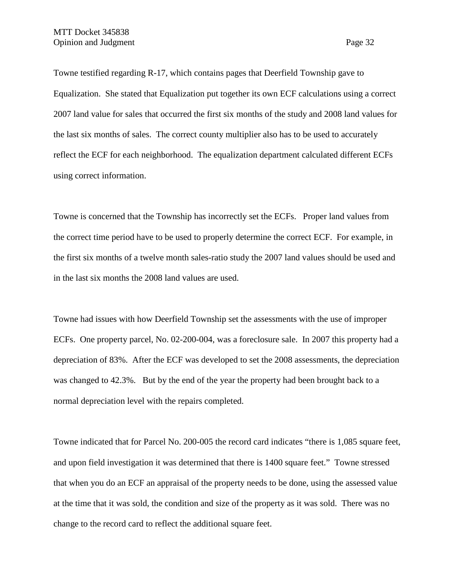Towne testified regarding R-17, which contains pages that Deerfield Township gave to Equalization. She stated that Equalization put together its own ECF calculations using a correct 2007 land value for sales that occurred the first six months of the study and 2008 land values for the last six months of sales. The correct county multiplier also has to be used to accurately reflect the ECF for each neighborhood. The equalization department calculated different ECFs using correct information.

Towne is concerned that the Township has incorrectly set the ECFs. Proper land values from the correct time period have to be used to properly determine the correct ECF. For example, in the first six months of a twelve month sales-ratio study the 2007 land values should be used and in the last six months the 2008 land values are used.

Towne had issues with how Deerfield Township set the assessments with the use of improper ECFs. One property parcel, No. 02-200-004, was a foreclosure sale. In 2007 this property had a depreciation of 83%. After the ECF was developed to set the 2008 assessments, the depreciation was changed to 42.3%. But by the end of the year the property had been brought back to a normal depreciation level with the repairs completed.

Towne indicated that for Parcel No. 200-005 the record card indicates "there is 1,085 square feet, and upon field investigation it was determined that there is 1400 square feet." Towne stressed that when you do an ECF an appraisal of the property needs to be done, using the assessed value at the time that it was sold, the condition and size of the property as it was sold. There was no change to the record card to reflect the additional square feet.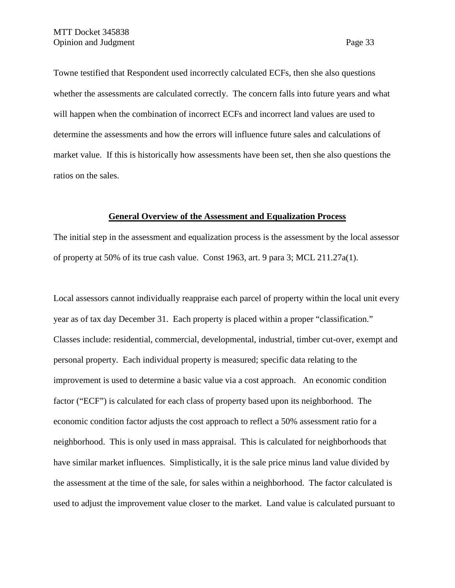Towne testified that Respondent used incorrectly calculated ECFs, then she also questions whether the assessments are calculated correctly. The concern falls into future years and what will happen when the combination of incorrect ECFs and incorrect land values are used to determine the assessments and how the errors will influence future sales and calculations of market value. If this is historically how assessments have been set, then she also questions the ratios on the sales.

## **General Overview of the Assessment and Equalization Process**

The initial step in the assessment and equalization process is the assessment by the local assessor of property at 50% of its true cash value. Const 1963, art. 9 para 3; MCL 211.27a(1).

Local assessors cannot individually reappraise each parcel of property within the local unit every year as of tax day December 31. Each property is placed within a proper "classification." Classes include: residential, commercial, developmental, industrial, timber cut-over, exempt and personal property. Each individual property is measured; specific data relating to the improvement is used to determine a basic value via a cost approach. An economic condition factor ("ECF") is calculated for each class of property based upon its neighborhood. The economic condition factor adjusts the cost approach to reflect a 50% assessment ratio for a neighborhood. This is only used in mass appraisal. This is calculated for neighborhoods that have similar market influences. Simplistically, it is the sale price minus land value divided by the assessment at the time of the sale, for sales within a neighborhood. The factor calculated is used to adjust the improvement value closer to the market. Land value is calculated pursuant to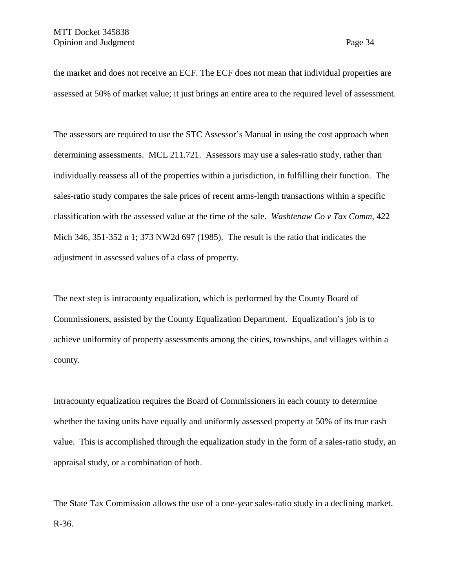the market and does not receive an ECF. The ECF does not mean that individual properties are assessed at 50% of market value; it just brings an entire area to the required level of assessment.

The assessors are required to use the STC Assessor's Manual in using the cost approach when determining assessments. MCL 211.721. Assessors may use a sales-ratio study, rather than individually reassess all of the properties within a jurisdiction, in fulfilling their function. The sales-ratio study compares the sale prices of recent arms-length transactions within a specific classification with the assessed value at the time of the sale. *Washtenaw Co v Tax Comm*, 422 Mich 346, 351-352 n 1; 373 NW2d 697 (1985). The result is the ratio that indicates the adjustment in assessed values of a class of property.

The next step is intracounty equalization, which is performed by the County Board of Commissioners, assisted by the County Equalization Department. Equalization's job is to achieve uniformity of property assessments among the cities, townships, and villages within a county.

Intracounty equalization requires the Board of Commissioners in each county to determine whether the taxing units have equally and uniformly assessed property at 50% of its true cash value. This is accomplished through the equalization study in the form of a sales-ratio study, an appraisal study, or a combination of both.

The State Tax Commission allows the use of a one-year sales-ratio study in a declining market. R-36.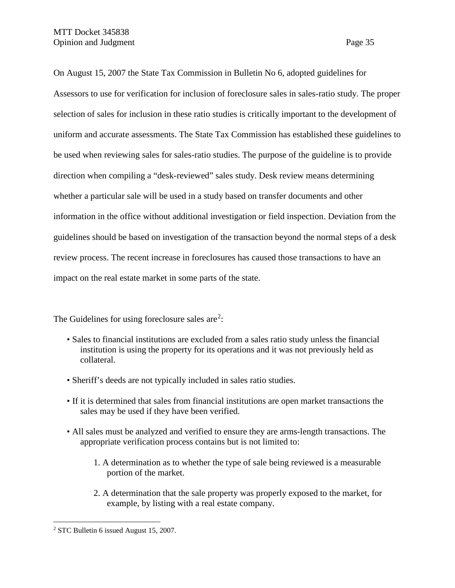On August 15, 2007 the State Tax Commission in Bulletin No 6, adopted guidelines for Assessors to use for verification for inclusion of foreclosure sales in sales-ratio study. The proper selection of sales for inclusion in these ratio studies is critically important to the development of uniform and accurate assessments. The State Tax Commission has established these guidelines to be used when reviewing sales for sales-ratio studies. The purpose of the guideline is to provide direction when compiling a "desk-reviewed" sales study. Desk review means determining whether a particular sale will be used in a study based on transfer documents and other information in the office without additional investigation or field inspection. Deviation from the guidelines should be based on investigation of the transaction beyond the normal steps of a desk review process. The recent increase in foreclosures has caused those transactions to have an impact on the real estate market in some parts of the state.

The Guidelines for using foreclosure sales are<sup>[2](#page-34-0)</sup>:

- Sales to financial institutions are excluded from a sales ratio study unless the financial institution is using the property for its operations and it was not previously held as collateral.
- Sheriff's deeds are not typically included in sales ratio studies.
- If it is determined that sales from financial institutions are open market transactions the sales may be used if they have been verified.
- All sales must be analyzed and verified to ensure they are arms-length transactions. The appropriate verification process contains but is not limited to:
	- 1. A determination as to whether the type of sale being reviewed is a measurable portion of the market.
	- 2. A determination that the sale property was properly exposed to the market, for example, by listing with a real estate company.

<span id="page-34-0"></span> <sup>2</sup> STC Bulletin 6 issued August 15, 2007.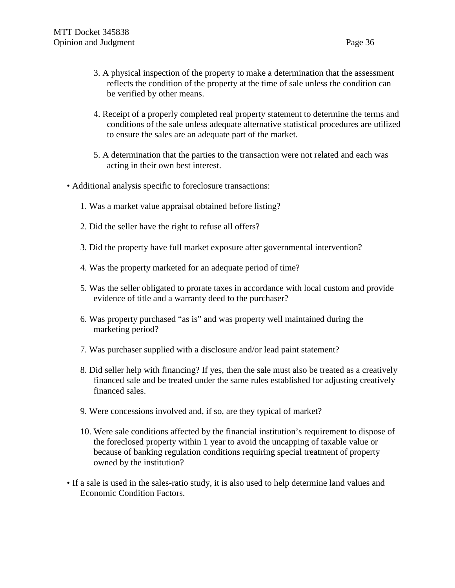- 3. A physical inspection of the property to make a determination that the assessment reflects the condition of the property at the time of sale unless the condition can be verified by other means.
- 4. Receipt of a properly completed real property statement to determine the terms and conditions of the sale unless adequate alternative statistical procedures are utilized to ensure the sales are an adequate part of the market.
- 5. A determination that the parties to the transaction were not related and each was acting in their own best interest.
- Additional analysis specific to foreclosure transactions:
	- 1. Was a market value appraisal obtained before listing?
	- 2. Did the seller have the right to refuse all offers?
	- 3. Did the property have full market exposure after governmental intervention?
	- 4. Was the property marketed for an adequate period of time?
	- 5. Was the seller obligated to prorate taxes in accordance with local custom and provide evidence of title and a warranty deed to the purchaser?
	- 6. Was property purchased "as is" and was property well maintained during the marketing period?
	- 7. Was purchaser supplied with a disclosure and/or lead paint statement?
	- 8. Did seller help with financing? If yes, then the sale must also be treated as a creatively financed sale and be treated under the same rules established for adjusting creatively financed sales.
	- 9. Were concessions involved and, if so, are they typical of market?
	- 10. Were sale conditions affected by the financial institution's requirement to dispose of the foreclosed property within 1 year to avoid the uncapping of taxable value or because of banking regulation conditions requiring special treatment of property owned by the institution?
- If a sale is used in the sales-ratio study, it is also used to help determine land values and Economic Condition Factors.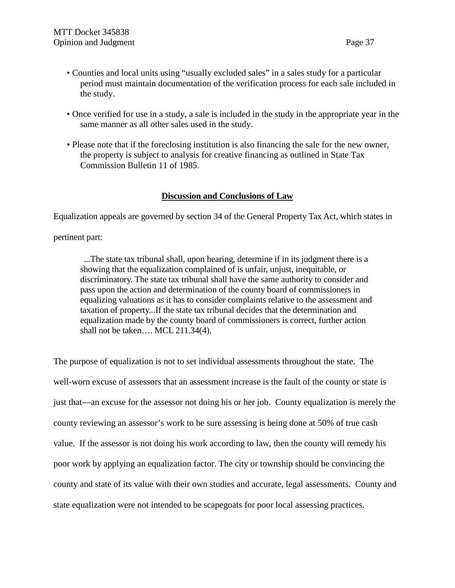- Counties and local units using "usually excluded sales" in a sales study for a particular period must maintain documentation of the verification process for each sale included in the study.
- Once verified for use in a study, a sale is included in the study in the appropriate year in the same manner as all other sales used in the study.
- Please note that if the foreclosing institution is also financing the sale for the new owner, the property is subject to analysis for creative financing as outlined in State Tax Commission Bulletin 11 of 1985.

# **Discussion and Conclusions of Law**

Equalization appeals are governed by section 34 of the General Property Tax Act, which states in

pertinent part:

...The state tax tribunal shall, upon hearing, determine if in its judgment there is a showing that the equalization complained of is unfair, unjust, inequitable, or discriminatory. The state tax tribunal shall have the same authority to consider and pass upon the action and determination of the county board of commissioners in equalizing valuations as it has to consider complaints relative to the assessment and taxation of property...If the state tax tribunal decides that the determination and equalization made by the county board of commissioners is correct, further action shall not be taken…. MCL 211.34(4).

The purpose of equalization is not to set individual assessments throughout the state. The well-worn excuse of assessors that an assessment increase is the fault of the county or state is just that—an excuse for the assessor not doing his or her job. County equalization is merely the county reviewing an assessor's work to be sure assessing is being done at 50% of true cash value. If the assessor is not doing his work according to law, then the county will remedy his poor work by applying an equalization factor. The city or township should be convincing the county and state of its value with their own studies and accurate, legal assessments. County and state equalization were not intended to be scapegoats for poor local assessing practices.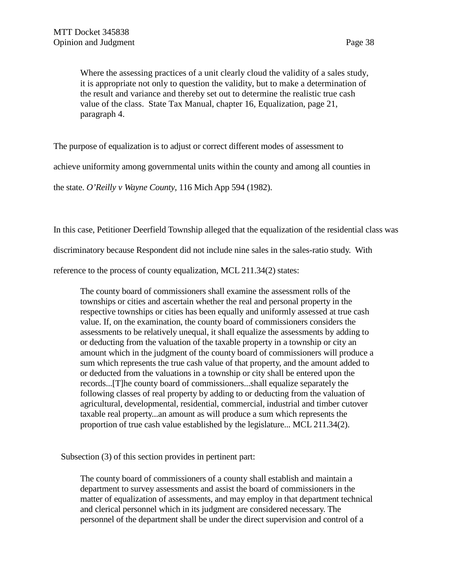Where the assessing practices of a unit clearly cloud the validity of a sales study, it is appropriate not only to question the validity, but to make a determination of the result and variance and thereby set out to determine the realistic true cash value of the class. State Tax Manual, chapter 16, Equalization, page 21, paragraph 4.

The purpose of equalization is to adjust or correct different modes of assessment to

achieve uniformity among governmental units within the county and among all counties in

the state. *O'Reilly v Wayne County*, 116 Mich App 594 (1982).

In this case, Petitioner Deerfield Township alleged that the equalization of the residential class was

discriminatory because Respondent did not include nine sales in the sales-ratio study. With

reference to the process of county equalization, MCL 211.34(2) states:

The county board of commissioners shall examine the assessment rolls of the townships or cities and ascertain whether the real and personal property in the respective townships or cities has been equally and uniformly assessed at true cash value. If, on the examination, the county board of commissioners considers the assessments to be relatively unequal, it shall equalize the assessments by adding to or deducting from the valuation of the taxable property in a township or city an amount which in the judgment of the county board of commissioners will produce a sum which represents the true cash value of that property, and the amount added to or deducted from the valuations in a township or city shall be entered upon the records...[T]he county board of commissioners...shall equalize separately the following classes of real property by adding to or deducting from the valuation of agricultural, developmental, residential, commercial, industrial and timber cutover taxable real property...an amount as will produce a sum which represents the proportion of true cash value established by the legislature... MCL 211.34(2).

Subsection (3) of this section provides in pertinent part:

The county board of commissioners of a county shall establish and maintain a department to survey assessments and assist the board of commissioners in the matter of equalization of assessments, and may employ in that department technical and clerical personnel which in its judgment are considered necessary. The personnel of the department shall be under the direct supervision and control of a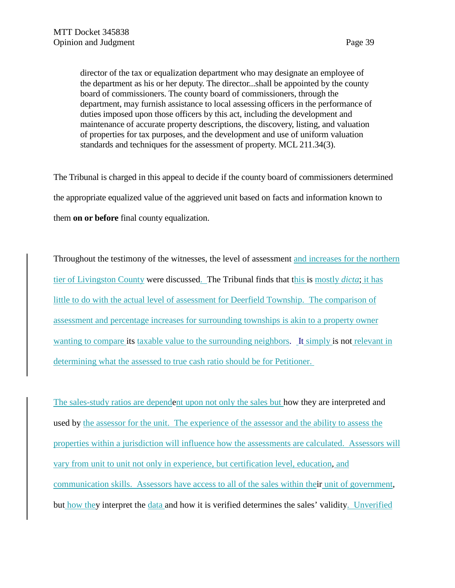director of the tax or equalization department who may designate an employee of the department as his or her deputy. The director...shall be appointed by the county board of commissioners. The county board of commissioners, through the department, may furnish assistance to local assessing officers in the performance of duties imposed upon those officers by this act, including the development and maintenance of accurate property descriptions, the discovery, listing, and valuation of properties for tax purposes, and the development and use of uniform valuation standards and techniques for the assessment of property. MCL 211.34(3).

The Tribunal is charged in this appeal to decide if the county board of commissioners determined the appropriate equalized value of the aggrieved unit based on facts and information known to them **on or before** final county equalization.

Throughout the testimony of the witnesses, the level of assessment and increases for the northern tier of Livingston County were discussed. The Tribunal finds that this is mostly *dicta*; it has little to do with the actual level of assessment for Deerfield Township. The comparison of assessment and percentage increases for surrounding townships is akin to a property owner wanting to compare its taxable value to the surrounding neighbors. It simply is not relevant in determining what the assessed to true cash ratio should be for Petitioner.

The sales-study ratios are dependent upon not only the sales but how they are interpreted and used by the assessor for the unit. The experience of the assessor and the ability to assess the properties within a jurisdiction will influence how the assessments are calculated. Assessors will vary from unit to unit not only in experience, but certification level, education, and communication skills. Assessors have access to all of the sales within their unit of government, but how they interpret the data and how it is verified determines the sales' validity. Unverified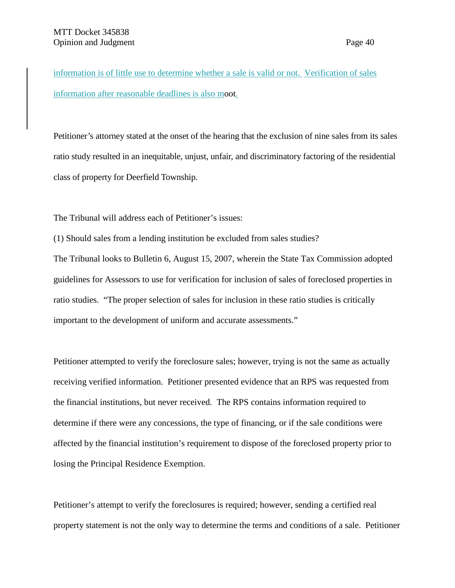information is of little use to determine whether a sale is valid or not. Verification of sales information after reasonable deadlines is also moot.

Petitioner's attorney stated at the onset of the hearing that the exclusion of nine sales from its sales ratio study resulted in an inequitable, unjust, unfair, and discriminatory factoring of the residential class of property for Deerfield Township.

The Tribunal will address each of Petitioner's issues:

(1) Should sales from a lending institution be excluded from sales studies? The Tribunal looks to Bulletin 6, August 15, 2007, wherein the State Tax Commission adopted guidelines for Assessors to use for verification for inclusion of sales of foreclosed properties in ratio studies. "The proper selection of sales for inclusion in these ratio studies is critically important to the development of uniform and accurate assessments."

Petitioner attempted to verify the foreclosure sales; however, trying is not the same as actually receiving verified information. Petitioner presented evidence that an RPS was requested from the financial institutions, but never received. The RPS contains information required to determine if there were any concessions, the type of financing, or if the sale conditions were affected by the financial institution's requirement to dispose of the foreclosed property prior to losing the Principal Residence Exemption.

Petitioner's attempt to verify the foreclosures is required; however, sending a certified real property statement is not the only way to determine the terms and conditions of a sale. Petitioner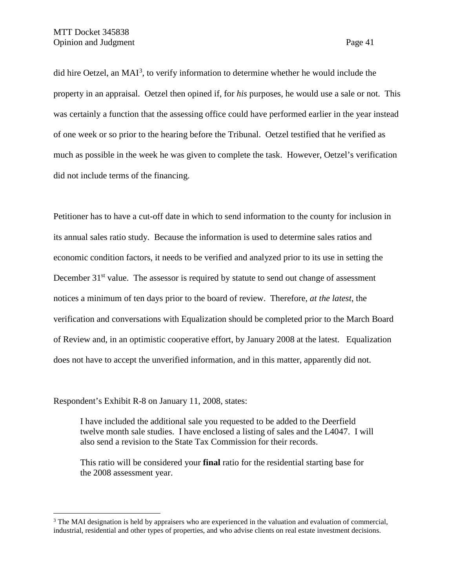did hire Oetzel, an  $MAI<sup>3</sup>$  $MAI<sup>3</sup>$  $MAI<sup>3</sup>$ , to verify information to determine whether he would include the property in an appraisal. Oetzel then opined if, for *his* purposes, he would use a sale or not. This was certainly a function that the assessing office could have performed earlier in the year instead of one week or so prior to the hearing before the Tribunal. Oetzel testified that he verified as much as possible in the week he was given to complete the task. However, Oetzel's verification did not include terms of the financing.

Petitioner has to have a cut-off date in which to send information to the county for inclusion in its annual sales ratio study. Because the information is used to determine sales ratios and economic condition factors, it needs to be verified and analyzed prior to its use in setting the December  $31<sup>st</sup>$  value. The assessor is required by statute to send out change of assessment notices a minimum of ten days prior to the board of review. Therefore, *at the latest*, the verification and conversations with Equalization should be completed prior to the March Board of Review and, in an optimistic cooperative effort, by January 2008 at the latest. Equalization does not have to accept the unverified information, and in this matter, apparently did not.

Respondent's Exhibit R-8 on January 11, 2008, states:

I have included the additional sale you requested to be added to the Deerfield twelve month sale studies. I have enclosed a listing of sales and the L4047. I will also send a revision to the State Tax Commission for their records.

This ratio will be considered your **final** ratio for the residential starting base for the 2008 assessment year.

<span id="page-40-0"></span><sup>&</sup>lt;sup>3</sup> The MAI designation is held by appraisers who are experienced in the valuation and evaluation of commercial, industrial, residential and other types of properties, and who advise clients on real estate investment decisions.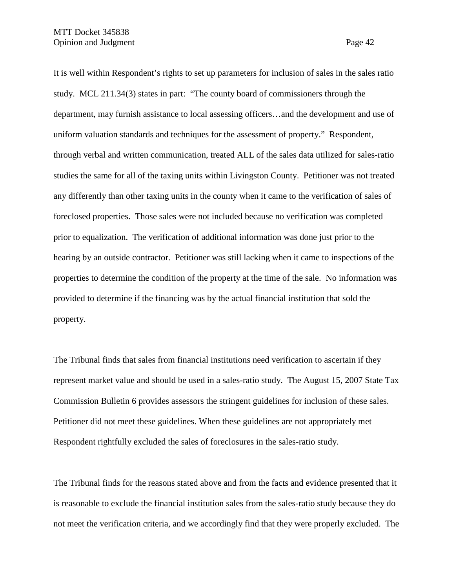It is well within Respondent's rights to set up parameters for inclusion of sales in the sales ratio study. MCL 211.34(3) states in part: "The county board of commissioners through the department, may furnish assistance to local assessing officers…and the development and use of uniform valuation standards and techniques for the assessment of property." Respondent, through verbal and written communication, treated ALL of the sales data utilized for sales-ratio studies the same for all of the taxing units within Livingston County. Petitioner was not treated any differently than other taxing units in the county when it came to the verification of sales of foreclosed properties. Those sales were not included because no verification was completed prior to equalization. The verification of additional information was done just prior to the hearing by an outside contractor. Petitioner was still lacking when it came to inspections of the properties to determine the condition of the property at the time of the sale. No information was provided to determine if the financing was by the actual financial institution that sold the property.

The Tribunal finds that sales from financial institutions need verification to ascertain if they represent market value and should be used in a sales-ratio study. The August 15, 2007 State Tax Commission Bulletin 6 provides assessors the stringent guidelines for inclusion of these sales. Petitioner did not meet these guidelines. When these guidelines are not appropriately met Respondent rightfully excluded the sales of foreclosures in the sales-ratio study.

The Tribunal finds for the reasons stated above and from the facts and evidence presented that it is reasonable to exclude the financial institution sales from the sales-ratio study because they do not meet the verification criteria, and we accordingly find that they were properly excluded. The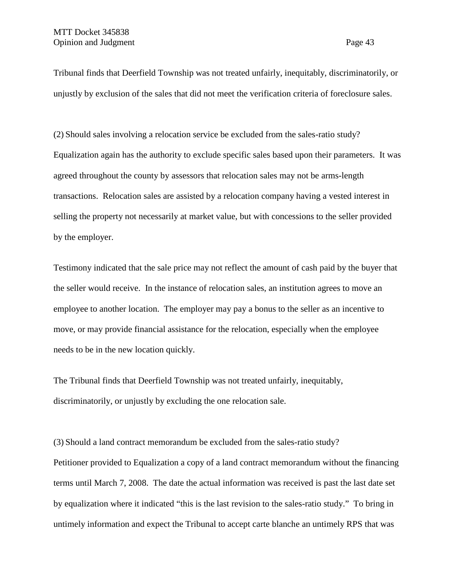Tribunal finds that Deerfield Township was not treated unfairly, inequitably, discriminatorily, or unjustly by exclusion of the sales that did not meet the verification criteria of foreclosure sales.

(2) Should sales involving a relocation service be excluded from the sales-ratio study? Equalization again has the authority to exclude specific sales based upon their parameters. It was agreed throughout the county by assessors that relocation sales may not be arms-length transactions. Relocation sales are assisted by a relocation company having a vested interest in selling the property not necessarily at market value, but with concessions to the seller provided by the employer.

Testimony indicated that the sale price may not reflect the amount of cash paid by the buyer that the seller would receive. In the instance of relocation sales, an institution agrees to move an employee to another location. The employer may pay a bonus to the seller as an incentive to move, or may provide financial assistance for the relocation, especially when the employee needs to be in the new location quickly.

The Tribunal finds that Deerfield Township was not treated unfairly, inequitably, discriminatorily, or unjustly by excluding the one relocation sale.

(3) Should a land contract memorandum be excluded from the sales-ratio study?

Petitioner provided to Equalization a copy of a land contract memorandum without the financing terms until March 7, 2008. The date the actual information was received is past the last date set by equalization where it indicated "this is the last revision to the sales-ratio study." To bring in untimely information and expect the Tribunal to accept carte blanche an untimely RPS that was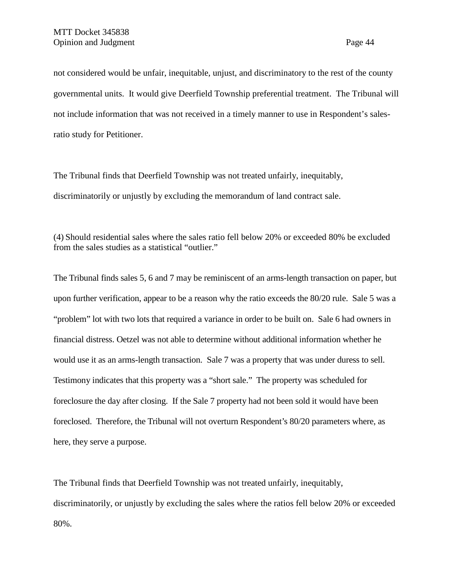not considered would be unfair, inequitable, unjust, and discriminatory to the rest of the county governmental units. It would give Deerfield Township preferential treatment. The Tribunal will not include information that was not received in a timely manner to use in Respondent's salesratio study for Petitioner.

The Tribunal finds that Deerfield Township was not treated unfairly, inequitably, discriminatorily or unjustly by excluding the memorandum of land contract sale.

(4) Should residential sales where the sales ratio fell below 20% or exceeded 80% be excluded from the sales studies as a statistical "outlier."

The Tribunal finds sales 5, 6 and 7 may be reminiscent of an arms-length transaction on paper, but upon further verification, appear to be a reason why the ratio exceeds the 80/20 rule. Sale 5 was a "problem" lot with two lots that required a variance in order to be built on. Sale 6 had owners in financial distress. Oetzel was not able to determine without additional information whether he would use it as an arms-length transaction. Sale 7 was a property that was under duress to sell. Testimony indicates that this property was a "short sale." The property was scheduled for foreclosure the day after closing. If the Sale 7 property had not been sold it would have been foreclosed. Therefore, the Tribunal will not overturn Respondent's 80/20 parameters where, as here, they serve a purpose.

The Tribunal finds that Deerfield Township was not treated unfairly, inequitably, discriminatorily, or unjustly by excluding the sales where the ratios fell below 20% or exceeded 80%.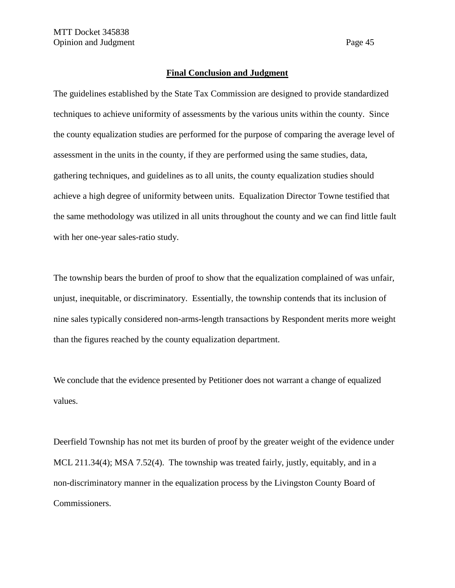#### **Final Conclusion and Judgment**

The guidelines established by the State Tax Commission are designed to provide standardized techniques to achieve uniformity of assessments by the various units within the county. Since the county equalization studies are performed for the purpose of comparing the average level of assessment in the units in the county, if they are performed using the same studies, data, gathering techniques, and guidelines as to all units, the county equalization studies should achieve a high degree of uniformity between units. Equalization Director Towne testified that the same methodology was utilized in all units throughout the county and we can find little fault with her one-year sales-ratio study.

The township bears the burden of proof to show that the equalization complained of was unfair, unjust, inequitable, or discriminatory. Essentially, the township contends that its inclusion of nine sales typically considered non-arms-length transactions by Respondent merits more weight than the figures reached by the county equalization department.

We conclude that the evidence presented by Petitioner does not warrant a change of equalized values.

Deerfield Township has not met its burden of proof by the greater weight of the evidence under MCL 211.34(4); MSA 7.52(4). The township was treated fairly, justly, equitably, and in a non-discriminatory manner in the equalization process by the Livingston County Board of Commissioners.